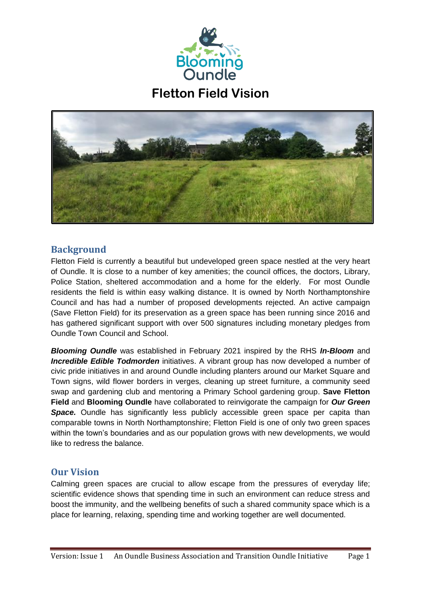

**Fletton Field Vision**



## **Background**

Fletton Field is currently a beautiful but undeveloped green space nestled at the very heart of Oundle. It is close to a number of key amenities; the council offices, the doctors, Library, Police Station, sheltered accommodation and a home for the elderly. For most Oundle residents the field is within easy walking distance. It is owned by North Northamptonshire Council and has had a number of proposed developments rejected. An active campaign (Save Fletton Field) for its preservation as a green space has been running since 2016 and has gathered significant support with over 500 signatures including monetary pledges from Oundle Town Council and School.

*Blooming Oundle* was established in February 2021 inspired by the RHS *In-Bloom* and *Incredible Edible Todmorden* initiatives. A vibrant group has now developed a number of civic pride initiatives in and around Oundle including planters around our Market Square and Town signs, wild flower borders in verges, cleaning up street furniture, a community seed swap and gardening club and mentoring a Primary School gardening group. **Save Fletton Field** and **Blooming Oundle** have collaborated to reinvigorate the campaign for *Our Green*  **Space.** Oundle has significantly less publicly accessible green space per capita than comparable towns in North Northamptonshire; Fletton Field is one of only two green spaces within the town's boundaries and as our population grows with new developments, we would like to redress the balance.

# **Our Vision**

Calming green spaces are crucial to allow escape from the pressures of everyday life; scientific evidence shows that spending time in such an environment can reduce stress and boost the immunity, and the wellbeing benefits of such a shared community space which is a place for learning, relaxing, spending time and working together are well documented.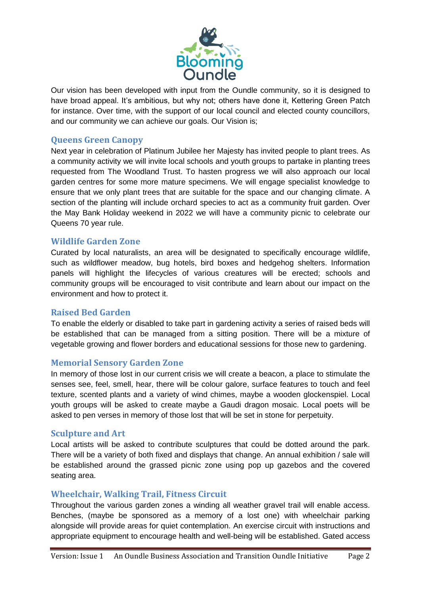

Our vision has been developed with input from the Oundle community, so it is designed to have broad appeal. It's ambitious, but why not; others have done it, Kettering Green Patch for instance. Over time, with the support of our local council and elected county councillors, and our community we can achieve our goals. Our Vision is;

### **Queens Green Canopy**

Next year in celebration of Platinum Jubilee her Majesty has invited people to plant trees. As a community activity we will invite local schools and youth groups to partake in planting trees requested from The Woodland Trust. To hasten progress we will also approach our local garden centres for some more mature specimens. We will engage specialist knowledge to ensure that we only plant trees that are suitable for the space and our changing climate. A section of the planting will include orchard species to act as a community fruit garden. Over the May Bank Holiday weekend in 2022 we will have a community picnic to celebrate our Queens 70 year rule.

#### **Wildlife Garden Zone**

Curated by local naturalists, an area will be designated to specifically encourage wildlife, such as wildflower meadow, bug hotels, bird boxes and hedgehog shelters. Information panels will highlight the lifecycles of various creatures will be erected; schools and community groups will be encouraged to visit contribute and learn about our impact on the environment and how to protect it.

#### **Raised Bed Garden**

To enable the elderly or disabled to take part in gardening activity a series of raised beds will be established that can be managed from a sitting position. There will be a mixture of vegetable growing and flower borders and educational sessions for those new to gardening.

### **Memorial Sensory Garden Zone**

In memory of those lost in our current crisis we will create a beacon, a place to stimulate the senses see, feel, smell, hear, there will be colour galore, surface features to touch and feel texture, scented plants and a variety of wind chimes, maybe a wooden glockenspiel. Local youth groups will be asked to create maybe a Gaudi dragon mosaic. Local poets will be asked to pen verses in memory of those lost that will be set in stone for perpetuity.

### **Sculpture and Art**

Local artists will be asked to contribute sculptures that could be dotted around the park. There will be a variety of both fixed and displays that change. An annual exhibition / sale will be established around the grassed picnic zone using pop up gazebos and the covered seating area.

### **Wheelchair, Walking Trail, Fitness Circuit**

Throughout the various garden zones a winding all weather gravel trail will enable access. Benches, (maybe be sponsored as a memory of a lost one) with wheelchair parking alongside will provide areas for quiet contemplation. An exercise circuit with instructions and appropriate equipment to encourage health and well-being will be established. Gated access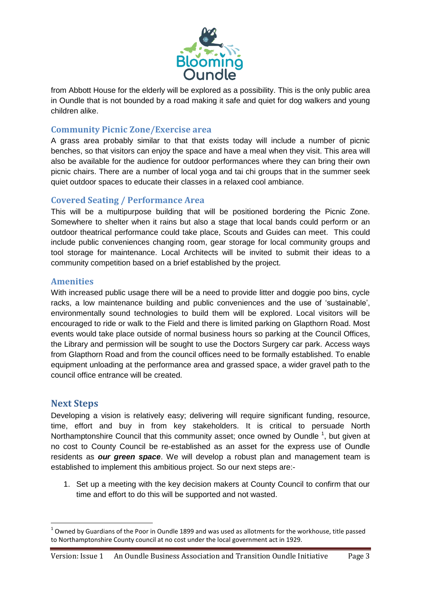

from Abbott House for the elderly will be explored as a possibility. This is the only public area in Oundle that is not bounded by a road making it safe and quiet for dog walkers and young children alike.

## **Community Picnic Zone/Exercise area**

A grass area probably similar to that that exists today will include a number of picnic benches, so that visitors can enjoy the space and have a meal when they visit. This area will also be available for the audience for outdoor performances where they can bring their own picnic chairs. There are a number of local yoga and tai chi groups that in the summer seek quiet outdoor spaces to educate their classes in a relaxed cool ambiance.

## **Covered Seating / Performance Area**

This will be a multipurpose building that will be positioned bordering the Picnic Zone. Somewhere to shelter when it rains but also a stage that local bands could perform or an outdoor theatrical performance could take place, Scouts and Guides can meet. This could include public conveniences changing room, gear storage for local community groups and tool storage for maintenance. Local Architects will be invited to submit their ideas to a community competition based on a brief established by the project.

### **Amenities**

With increased public usage there will be a need to provide litter and doggie poo bins, cycle racks, a low maintenance building and public conveniences and the use of 'sustainable', environmentally sound technologies to build them will be explored. Local visitors will be encouraged to ride or walk to the Field and there is limited parking on Glapthorn Road. Most events would take place outside of normal business hours so parking at the Council Offices, the Library and permission will be sought to use the Doctors Surgery car park. Access ways from Glapthorn Road and from the council offices need to be formally established. To enable equipment unloading at the performance area and grassed space, a wider gravel path to the council office entrance will be created.

## **Next Steps**

**.** 

Developing a vision is relatively easy; delivering will require significant funding, resource, time, effort and buy in from key stakeholders. It is critical to persuade North Northamptonshire Council that this community asset; once owned by Oundle  $<sup>1</sup>$ , but given at</sup> no cost to County Council be re-established as an asset for the express use of Oundle residents as *our green space*. We will develop a robust plan and management team is established to implement this ambitious project. So our next steps are:-

1. Set up a meeting with the key decision makers at County Council to confirm that our time and effort to do this will be supported and not wasted.

 $^1$  Owned by Guardians of the Poor in Oundle 1899 and was used as allotments for the workhouse, title passed to Northamptonshire County council at no cost under the local government act in 1929.